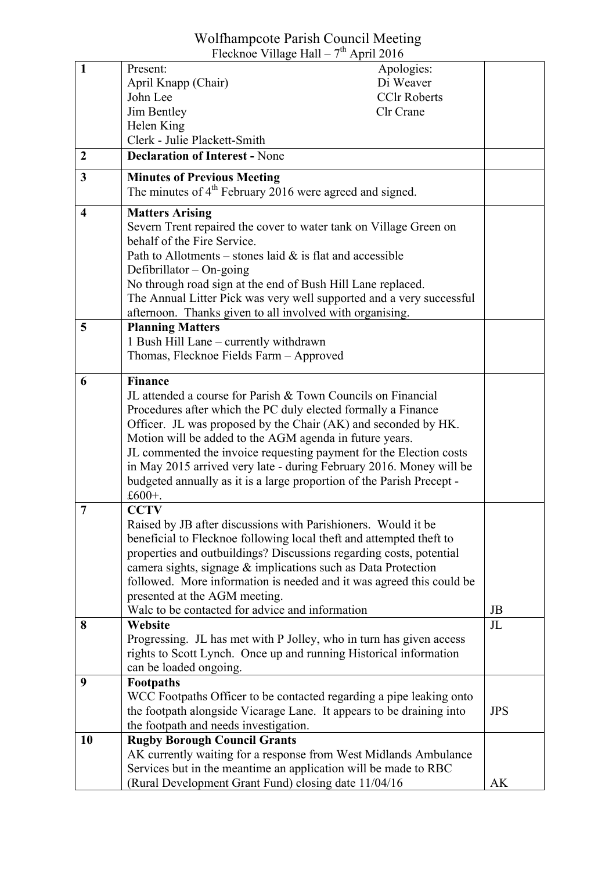## Wolfhampcote Parish Council Meeting Flecknoe Village Hall –  $7<sup>th</sup>$  April 2016

|                         | FIECKNOE VIIIage Hall $-$ / April 2010                                |                |
|-------------------------|-----------------------------------------------------------------------|----------------|
| $\mathbf{1}$            | Present:<br>Apologies:                                                |                |
|                         | April Knapp (Chair)<br>Di Weaver                                      |                |
|                         | John Lee<br><b>CClr Roberts</b>                                       |                |
|                         | Jim Bentley<br>Clr Crane                                              |                |
|                         | Helen King                                                            |                |
|                         | Clerk - Julie Plackett-Smith                                          |                |
| $\overline{2}$          | <b>Declaration of Interest - None</b>                                 |                |
| $\overline{\mathbf{3}}$ | <b>Minutes of Previous Meeting</b>                                    |                |
|                         | The minutes of $4th$ February 2016 were agreed and signed.            |                |
| $\overline{\bf{4}}$     | <b>Matters Arising</b>                                                |                |
|                         | Severn Trent repaired the cover to water tank on Village Green on     |                |
|                         | behalf of the Fire Service.                                           |                |
|                         | Path to Allotments – stones laid $\&$ is flat and accessible          |                |
|                         | Defibrillator $-$ On-going                                            |                |
|                         | No through road sign at the end of Bush Hill Lane replaced.           |                |
|                         | The Annual Litter Pick was very well supported and a very successful  |                |
|                         | afternoon. Thanks given to all involved with organising.              |                |
| 5                       | <b>Planning Matters</b>                                               |                |
|                         | 1 Bush Hill Lane – currently withdrawn                                |                |
|                         | Thomas, Flecknoe Fields Farm - Approved                               |                |
|                         |                                                                       |                |
| 6                       | <b>Finance</b>                                                        |                |
|                         | JL attended a course for Parish & Town Councils on Financial          |                |
|                         | Procedures after which the PC duly elected formally a Finance         |                |
|                         | Officer. JL was proposed by the Chair (AK) and seconded by HK.        |                |
|                         | Motion will be added to the AGM agenda in future years.               |                |
|                         | JL commented the invoice requesting payment for the Election costs    |                |
|                         | in May 2015 arrived very late - during February 2016. Money will be   |                |
|                         | budgeted annually as it is a large proportion of the Parish Precept - |                |
|                         | £600+.                                                                |                |
| 7                       | <b>CCTV</b>                                                           |                |
|                         | Raised by JB after discussions with Parishioners. Would it be         |                |
|                         | beneficial to Flecknoe following local theft and attempted theft to   |                |
|                         | properties and outbuildings? Discussions regarding costs, potential   |                |
|                         | camera sights, signage & implications such as Data Protection         |                |
|                         | followed. More information is needed and it was agreed this could be  |                |
|                         | presented at the AGM meeting.                                         |                |
|                         | Walc to be contacted for advice and information                       | JB             |
| 8                       | <b>Website</b>                                                        | J <sub>L</sub> |
|                         | Progressing. JL has met with P Jolley, who in turn has given access   |                |
|                         | rights to Scott Lynch. Once up and running Historical information     |                |
|                         | can be loaded ongoing.                                                |                |
| 9                       | Footpaths                                                             |                |
|                         | WCC Footpaths Officer to be contacted regarding a pipe leaking onto   |                |
|                         | the footpath alongside Vicarage Lane. It appears to be draining into  | <b>JPS</b>     |
|                         | the footpath and needs investigation.                                 |                |
| 10                      | <b>Rugby Borough Council Grants</b>                                   |                |
|                         | AK currently waiting for a response from West Midlands Ambulance      |                |
|                         | Services but in the meantime an application will be made to RBC       |                |
|                         | (Rural Development Grant Fund) closing date 11/04/16                  | AK             |